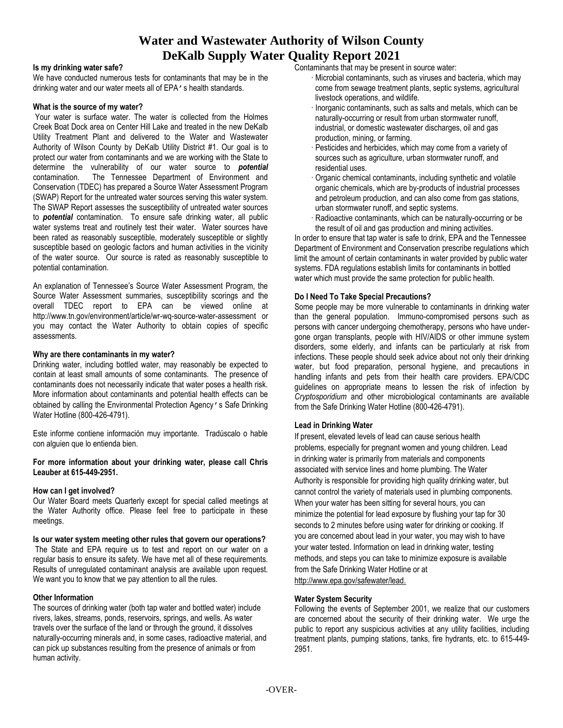# **Water and Wastewater Authority of Wilson County DeKalb Supply Water Quality Report 2021**

#### **Is my drinking water safe?**

We have conducted numerous tests for contaminants that may be in the drinking water and our water meets all of EPA's health standards.

#### **What is the source of my water?**

Your water is surface water. The water is collected from the Holmes Creek Boat Dock area on Center Hill Lake and treated in the new DeKalb Utility Treatment Plant and delivered to the Water and Wastewater Authority of Wilson County by DeKalb Utility District #1. Our goal is to protect our water from contaminants and we are working with the State to determine the vulnerability of our water source to *potential* contamination. The Tennessee Department of Environment and Conservation (TDEC) has prepared a Source Water Assessment Program (SWAP) Report for the untreated water sources serving this water system. The SWAP Report assesses the susceptibility of untreated water sources to *potential* contamination. To ensure safe drinking water, all public water systems treat and routinely test their water. Water sources have been rated as reasonably susceptible, moderately susceptible or slightly susceptible based on geologic factors and human activities in the vicinity of the water source. Our source is rated as reasonably susceptible to potential contamination.

An explanation of Tennessee's Source Water Assessment Program, the Source Water Assessment summaries, susceptibility scorings and the overall TDEC report to EPA can be viewed online at http://www.tn.gov/environment/article/wr-wq-source-water-assessment or you may contact the Water Authority to obtain copies of specific assessments.

# **Why are there contaminants in my water?**

Drinking water, including bottled water, may reasonably be expected to contain at least small amounts of some contaminants. The presence of contaminants does not necessarily indicate that water poses a health risk. More information about contaminants and potential health effects can be obtained by calling the Environmental Protection Agency's Safe Drinking Water Hotline (800-426-4791).

Este informe contiene información muy importante. Tradúscalo o hable con alguien que lo entienda bien.

#### **For more information about your drinking water, please call Chris Leauber at 615-449-2951.**

# **How can I get involved?**

Our Water Board meets Quarterly except for special called meetings at the Water Authority office. Please feel free to participate in these meetings.

#### **Is our water system meeting other rules that govern our operations?**

The State and EPA require us to test and report on our water on a regular basis to ensure its safety. We have met all of these requirements. Results of unregulated contaminant analysis are available upon request. We want you to know that we pay attention to all the rules.

# **Other Information**

The sources of drinking water (both tap water and bottled water) include rivers, lakes, streams, ponds, reservoirs, springs, and wells. As water travels over the surface of the land or through the ground, it dissolves naturally-occurring minerals and, in some cases, radioactive material, and can pick up substances resulting from the presence of animals or from human activity.

Contaminants that may be present in source water:

- · Microbial contaminants, such as viruses and bacteria, which may come from sewage treatment plants, septic systems, agricultural livestock operations, and wildlife.
- · Inorganic contaminants, such as salts and metals, which can be naturally-occurring or result from urban stormwater runoff, industrial, or domestic wastewater discharges, oil and gas production, mining, or farming.
- · Pesticides and herbicides, which may come from a variety of sources such as agriculture, urban stormwater runoff, and residential uses.
- · Organic chemical contaminants, including synthetic and volatile organic chemicals, which are by-products of industrial processes and petroleum production, and can also come from gas stations, urban stormwater runoff, and septic systems.
- · Radioactive contaminants, which can be naturally-occurring or be the result of oil and gas production and mining activities.

In order to ensure that tap water is safe to drink, EPA and the Tennessee Department of Environment and Conservation prescribe regulations which limit the amount of certain contaminants in water provided by public water systems. FDA regulations establish limits for contaminants in bottled water which must provide the same protection for public health.

#### **Do I Need To Take Special Precautions?**

Some people may be more vulnerable to contaminants in drinking water than the general population. Immuno-compromised persons such as persons with cancer undergoing chemotherapy, persons who have undergone organ transplants, people with HIV/AIDS or other immune system disorders, some elderly, and infants can be particularly at risk from infections. These people should seek advice about not only their drinking water, but food preparation, personal hygiene, and precautions in handling infants and pets from their health care providers. EPA/CDC guidelines on appropriate means to lessen the risk of infection by *Cryptosporidium* and other microbiological contaminants are available from the Safe Drinking Water Hotline (800-426-4791).

# **Lead in Drinking Water**

If present, elevated levels of lead can cause serious health problems, especially for pregnant women and young children. Lead in drinking water is primarily from materials and components associated with service lines and home plumbing. The Water Authority is responsible for providing high quality drinking water, but cannot control the variety of materials used in plumbing components. When your water has been sitting for several hours, you can minimize the potential for lead exposure by flushing your tap for 30 seconds to 2 minutes before using water for drinking or cooking. If you are concerned about lead in your water, you may wish to have your water tested. Information on lead in drinking water, testing methods, and steps you can take to minimize exposure is available from the Safe Drinking Water Hotline or at [http://www.epa.gov/safewater/lead.](http://www.epa.gov/safewater/lead)

#### **Water System Security**

Following the events of September 2001, we realize that our customers are concerned about the security of their drinking water. We urge the public to report any suspicious activities at any utility facilities, including treatment plants, pumping stations, tanks, fire hydrants, etc. to 615-449- 2951.